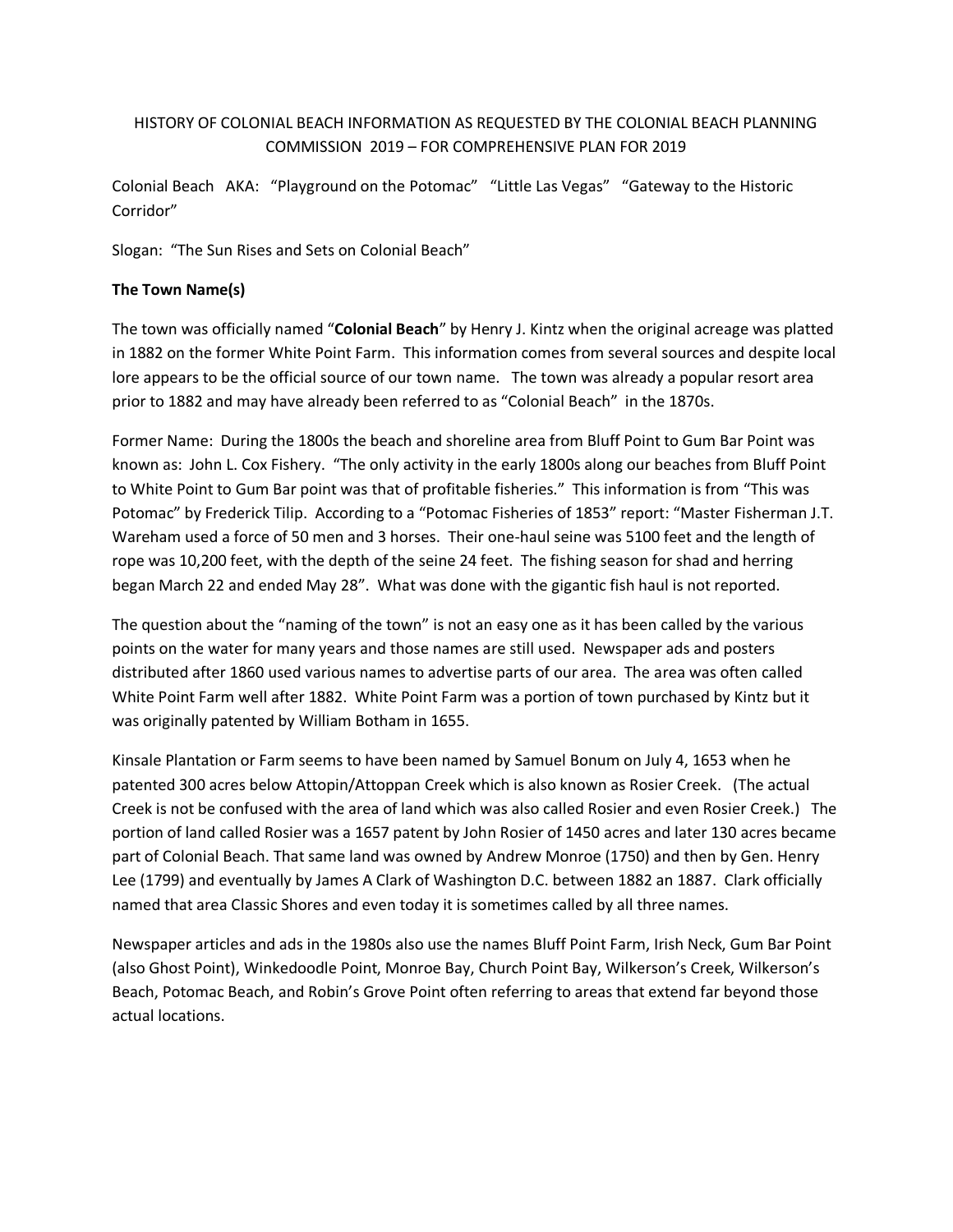# HISTORY OF COLONIAL BEACH INFORMATION AS REQUESTED BY THE COLONIAL BEACH PLANNING COMMISSION 2019 – FOR COMPREHENSIVE PLAN FOR 2019

Colonial Beach AKA: "Playground on the Potomac" "Little Las Vegas" "Gateway to the Historic Corridor"

Slogan: "The Sun Rises and Sets on Colonial Beach"

## **The Town Name(s)**

The town was officially named "**Colonial Beach**" by Henry J. Kintz when the original acreage was platted in 1882 on the former White Point Farm. This information comes from several sources and despite local lore appears to be the official source of our town name. The town was already a popular resort area prior to 1882 and may have already been referred to as "Colonial Beach" in the 1870s.

Former Name: During the 1800s the beach and shoreline area from Bluff Point to Gum Bar Point was known as: John L. Cox Fishery. "The only activity in the early 1800s along our beaches from Bluff Point to White Point to Gum Bar point was that of profitable fisheries." This information is from "This was Potomac" by Frederick Tilip. According to a "Potomac Fisheries of 1853" report: "Master Fisherman J.T. Wareham used a force of 50 men and 3 horses. Their one-haul seine was 5100 feet and the length of rope was 10,200 feet, with the depth of the seine 24 feet. The fishing season for shad and herring began March 22 and ended May 28". What was done with the gigantic fish haul is not reported.

The question about the "naming of the town" is not an easy one as it has been called by the various points on the water for many years and those names are still used. Newspaper ads and posters distributed after 1860 used various names to advertise parts of our area. The area was often called White Point Farm well after 1882. White Point Farm was a portion of town purchased by Kintz but it was originally patented by William Botham in 1655.

Kinsale Plantation or Farm seems to have been named by Samuel Bonum on July 4, 1653 when he patented 300 acres below Attopin/Attoppan Creek which is also known as Rosier Creek. (The actual Creek is not be confused with the area of land which was also called Rosier and even Rosier Creek.) The portion of land called Rosier was a 1657 patent by John Rosier of 1450 acres and later 130 acres became part of Colonial Beach. That same land was owned by Andrew Monroe (1750) and then by Gen. Henry Lee (1799) and eventually by James A Clark of Washington D.C. between 1882 an 1887. Clark officially named that area Classic Shores and even today it is sometimes called by all three names.

Newspaper articles and ads in the 1980s also use the names Bluff Point Farm, Irish Neck, Gum Bar Point (also Ghost Point), Winkedoodle Point, Monroe Bay, Church Point Bay, Wilkerson's Creek, Wilkerson's Beach, Potomac Beach, and Robin's Grove Point often referring to areas that extend far beyond those actual locations.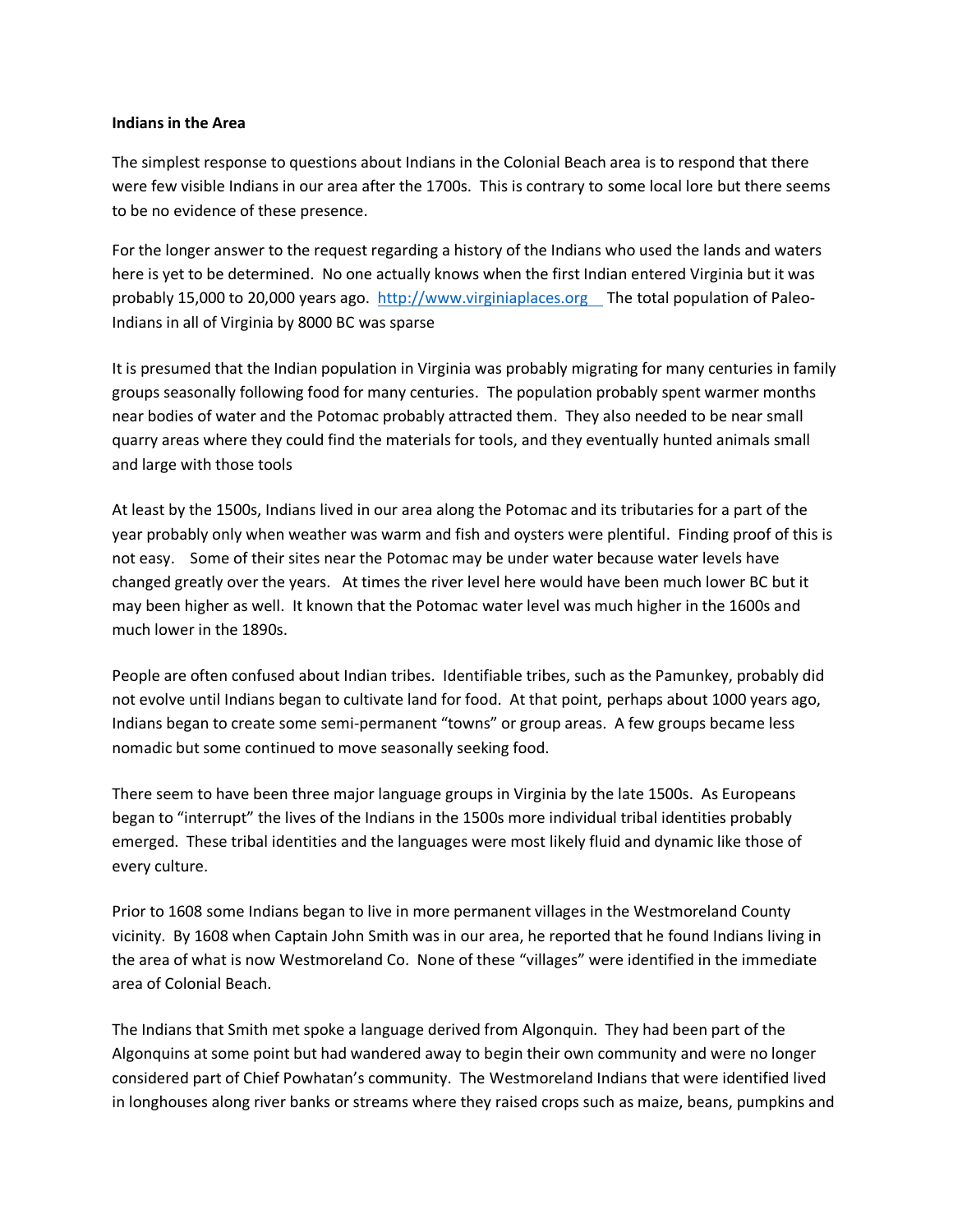#### **Indians in the Area**

The simplest response to questions about Indians in the Colonial Beach area is to respond that there were few visible Indians in our area after the 1700s. This is contrary to some local lore but there seems to be no evidence of these presence.

For the longer answer to the request regarding a history of the Indians who used the lands and waters here is yet to be determined. No one actually knows when the first Indian entered Virginia but it was probably 15,000 to 20,000 years ago. [http://www.virginiaplaces.org](http://www.virginiaplaces.org/) The total population of Paleo-Indians in all of Virginia by 8000 BC was sparse

It is presumed that the Indian population in Virginia was probably migrating for many centuries in family groups seasonally following food for many centuries. The population probably spent warmer months near bodies of water and the Potomac probably attracted them. They also needed to be near small quarry areas where they could find the materials for tools, and they eventually hunted animals small and large with those tools

At least by the 1500s, Indians lived in our area along the Potomac and its tributaries for a part of the year probably only when weather was warm and fish and oysters were plentiful. Finding proof of this is not easy. Some of their sites near the Potomac may be under water because water levels have changed greatly over the years. At times the river level here would have been much lower BC but it may been higher as well. It known that the Potomac water level was much higher in the 1600s and much lower in the 1890s.

People are often confused about Indian tribes. Identifiable tribes, such as the Pamunkey, probably did not evolve until Indians began to cultivate land for food. At that point, perhaps about 1000 years ago, Indians began to create some semi-permanent "towns" or group areas. A few groups became less nomadic but some continued to move seasonally seeking food.

There seem to have been three major language groups in Virginia by the late 1500s. As Europeans began to "interrupt" the lives of the Indians in the 1500s more individual tribal identities probably emerged. These tribal identities and the languages were most likely fluid and dynamic like those of every culture.

Prior to 1608 some Indians began to live in more permanent villages in the Westmoreland County vicinity. By 1608 when Captain John Smith was in our area, he reported that he found Indians living in the area of what is now Westmoreland Co. None of these "villages" were identified in the immediate area of Colonial Beach.

The Indians that Smith met spoke a language derived from Algonquin. They had been part of the Algonquins at some point but had wandered away to begin their own community and were no longer considered part of Chief Powhatan's community. The Westmoreland Indians that were identified lived in longhouses along river banks or streams where they raised crops such as maize, beans, pumpkins and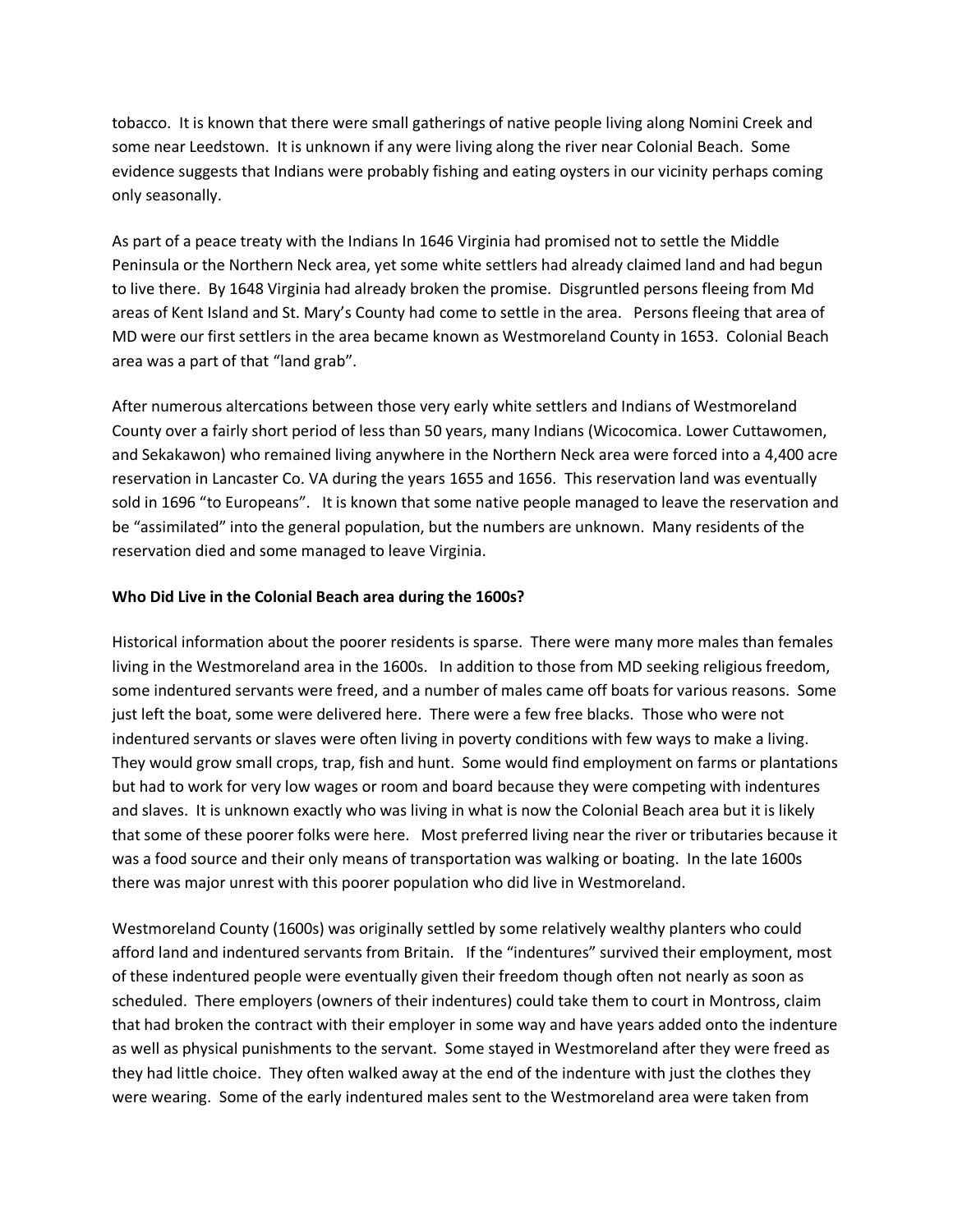tobacco. It is known that there were small gatherings of native people living along Nomini Creek and some near Leedstown. It is unknown if any were living along the river near Colonial Beach. Some evidence suggests that Indians were probably fishing and eating oysters in our vicinity perhaps coming only seasonally.

As part of a peace treaty with the Indians In 1646 Virginia had promised not to settle the Middle Peninsula or the Northern Neck area, yet some white settlers had already claimed land and had begun to live there. By 1648 Virginia had already broken the promise. Disgruntled persons fleeing from Md areas of Kent Island and St. Mary's County had come to settle in the area. Persons fleeing that area of MD were our first settlers in the area became known as Westmoreland County in 1653. Colonial Beach area was a part of that "land grab".

After numerous altercations between those very early white settlers and Indians of Westmoreland County over a fairly short period of less than 50 years, many Indians (Wicocomica. Lower Cuttawomen, and Sekakawon) who remained living anywhere in the Northern Neck area were forced into a 4,400 acre reservation in Lancaster Co. VA during the years 1655 and 1656. This reservation land was eventually sold in 1696 "to Europeans". It is known that some native people managed to leave the reservation and be "assimilated" into the general population, but the numbers are unknown. Many residents of the reservation died and some managed to leave Virginia.

#### **Who Did Live in the Colonial Beach area during the 1600s?**

Historical information about the poorer residents is sparse. There were many more males than females living in the Westmoreland area in the 1600s. In addition to those from MD seeking religious freedom, some indentured servants were freed, and a number of males came off boats for various reasons. Some just left the boat, some were delivered here. There were a few free blacks. Those who were not indentured servants or slaves were often living in poverty conditions with few ways to make a living. They would grow small crops, trap, fish and hunt. Some would find employment on farms or plantations but had to work for very low wages or room and board because they were competing with indentures and slaves. It is unknown exactly who was living in what is now the Colonial Beach area but it is likely that some of these poorer folks were here. Most preferred living near the river or tributaries because it was a food source and their only means of transportation was walking or boating. In the late 1600s there was major unrest with this poorer population who did live in Westmoreland.

Westmoreland County (1600s) was originally settled by some relatively wealthy planters who could afford land and indentured servants from Britain. If the "indentures" survived their employment, most of these indentured people were eventually given their freedom though often not nearly as soon as scheduled. There employers (owners of their indentures) could take them to court in Montross, claim that had broken the contract with their employer in some way and have years added onto the indenture as well as physical punishments to the servant. Some stayed in Westmoreland after they were freed as they had little choice. They often walked away at the end of the indenture with just the clothes they were wearing. Some of the early indentured males sent to the Westmoreland area were taken from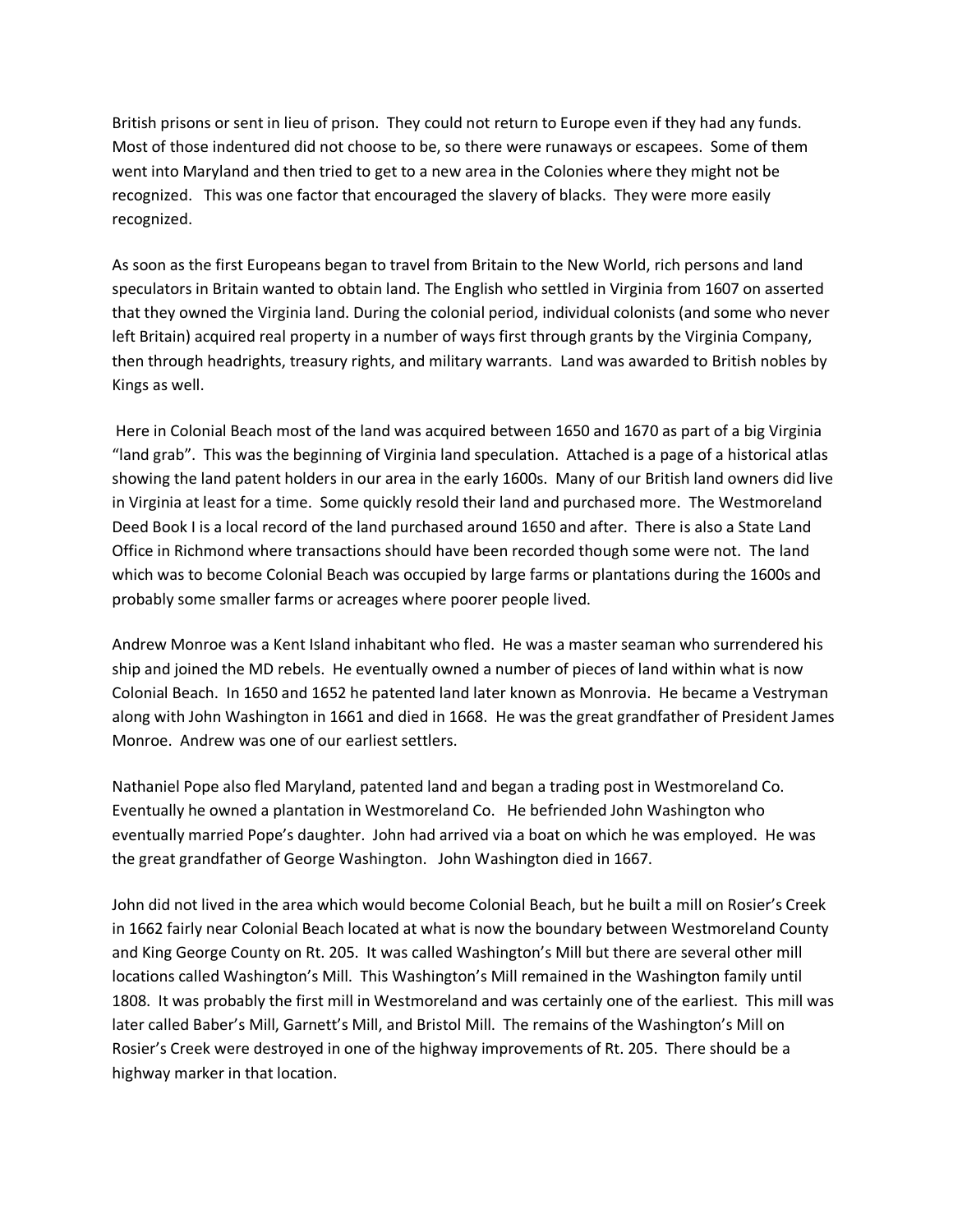British prisons or sent in lieu of prison. They could not return to Europe even if they had any funds. Most of those indentured did not choose to be, so there were runaways or escapees. Some of them went into Maryland and then tried to get to a new area in the Colonies where they might not be recognized. This was one factor that encouraged the slavery of blacks. They were more easily recognized.

As soon as the first Europeans began to travel from Britain to the New World, rich persons and land speculators in Britain wanted to obtain land. The English who settled in Virginia from 1607 on asserted that they owned the Virginia land. During the colonial period, individual colonists (and some who never left Britain) acquired real property in a number of ways first through grants by the Virginia Company, then through headrights, treasury rights, and military warrants. Land was awarded to British nobles by Kings as well.

Here in Colonial Beach most of the land was acquired between 1650 and 1670 as part of a big Virginia "land grab". This was the beginning of Virginia land speculation. Attached is a page of a historical atlas showing the land patent holders in our area in the early 1600s. Many of our British land owners did live in Virginia at least for a time. Some quickly resold their land and purchased more. The Westmoreland Deed Book I is a local record of the land purchased around 1650 and after. There is also a State Land Office in Richmond where transactions should have been recorded though some were not. The land which was to become Colonial Beach was occupied by large farms or plantations during the 1600s and probably some smaller farms or acreages where poorer people lived.

Andrew Monroe was a Kent Island inhabitant who fled. He was a master seaman who surrendered his ship and joined the MD rebels. He eventually owned a number of pieces of land within what is now Colonial Beach. In 1650 and 1652 he patented land later known as Monrovia. He became a Vestryman along with John Washington in 1661 and died in 1668. He was the great grandfather of President James Monroe. Andrew was one of our earliest settlers.

Nathaniel Pope also fled Maryland, patented land and began a trading post in Westmoreland Co. Eventually he owned a plantation in Westmoreland Co. He befriended John Washington who eventually married Pope's daughter. John had arrived via a boat on which he was employed. He was the great grandfather of George Washington. John Washington died in 1667.

John did not lived in the area which would become Colonial Beach, but he built a mill on Rosier's Creek in 1662 fairly near Colonial Beach located at what is now the boundary between Westmoreland County and King George County on Rt. 205. It was called Washington's Mill but there are several other mill locations called Washington's Mill. This Washington's Mill remained in the Washington family until 1808. It was probably the first mill in Westmoreland and was certainly one of the earliest. This mill was later called Baber's Mill, Garnett's Mill, and Bristol Mill. The remains of the Washington's Mill on Rosier's Creek were destroyed in one of the highway improvements of Rt. 205. There should be a highway marker in that location.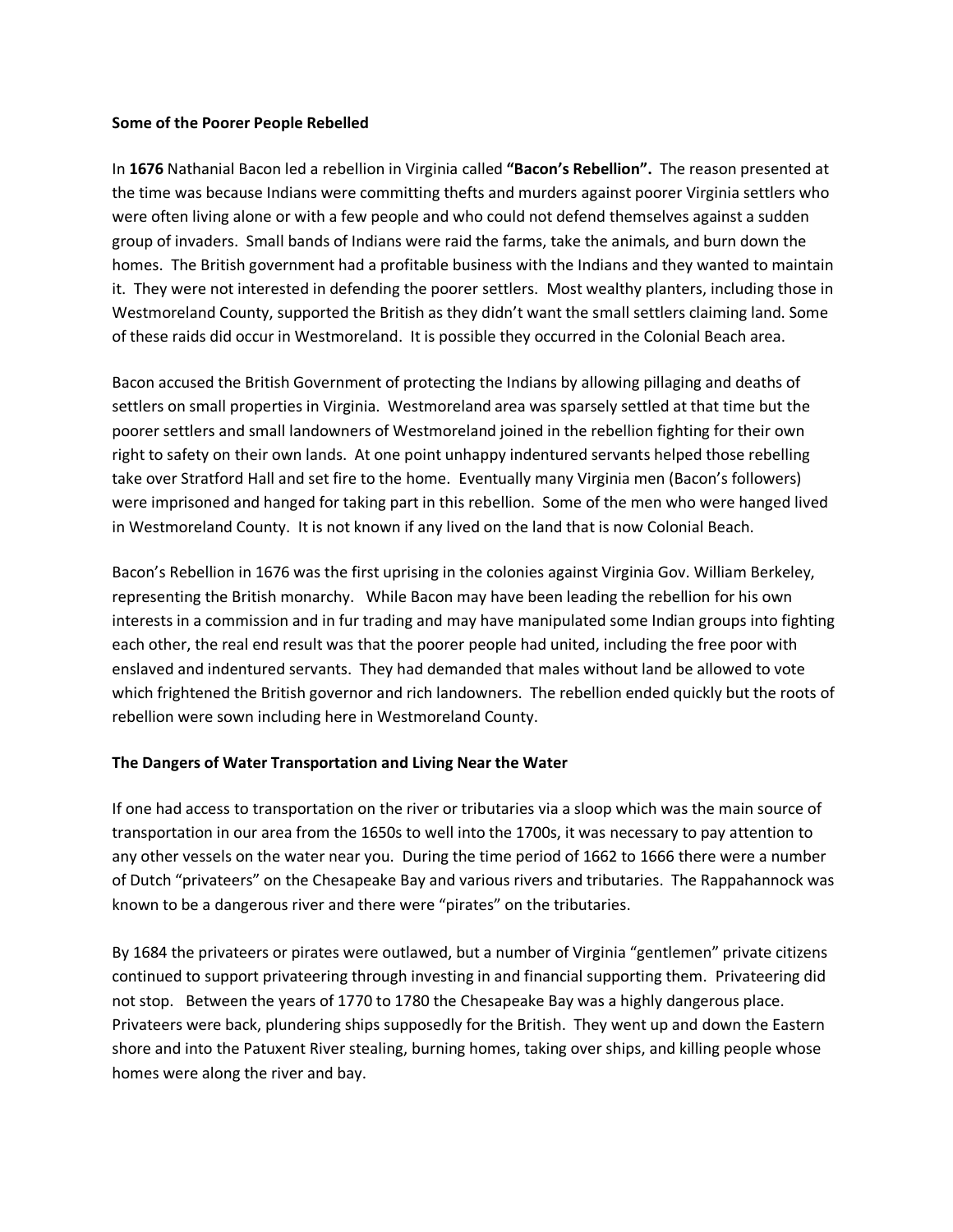#### **Some of the Poorer People Rebelled**

In **1676** Nathanial Bacon led a rebellion in Virginia called **"Bacon's Rebellion".** The reason presented at the time was because Indians were committing thefts and murders against poorer Virginia settlers who were often living alone or with a few people and who could not defend themselves against a sudden group of invaders. Small bands of Indians were raid the farms, take the animals, and burn down the homes. The British government had a profitable business with the Indians and they wanted to maintain it. They were not interested in defending the poorer settlers. Most wealthy planters, including those in Westmoreland County, supported the British as they didn't want the small settlers claiming land. Some of these raids did occur in Westmoreland. It is possible they occurred in the Colonial Beach area.

Bacon accused the British Government of protecting the Indians by allowing pillaging and deaths of settlers on small properties in Virginia. Westmoreland area was sparsely settled at that time but the poorer settlers and small landowners of Westmoreland joined in the rebellion fighting for their own right to safety on their own lands. At one point unhappy indentured servants helped those rebelling take over Stratford Hall and set fire to the home. Eventually many Virginia men (Bacon's followers) were imprisoned and hanged for taking part in this rebellion. Some of the men who were hanged lived in Westmoreland County. It is not known if any lived on the land that is now Colonial Beach.

Bacon's Rebellion in 1676 was the first uprising in the colonies against Virginia Gov. William Berkeley, representing the British monarchy. While Bacon may have been leading the rebellion for his own interests in a commission and in fur trading and may have manipulated some Indian groups into fighting each other, the real end result was that the poorer people had united, including the free poor with enslaved and indentured servants. They had demanded that males without land be allowed to vote which frightened the British governor and rich landowners. The rebellion ended quickly but the roots of rebellion were sown including here in Westmoreland County.

### **The Dangers of Water Transportation and Living Near the Water**

If one had access to transportation on the river or tributaries via a sloop which was the main source of transportation in our area from the 1650s to well into the 1700s, it was necessary to pay attention to any other vessels on the water near you. During the time period of 1662 to 1666 there were a number of Dutch "privateers" on the Chesapeake Bay and various rivers and tributaries. The Rappahannock was known to be a dangerous river and there were "pirates" on the tributaries.

By 1684 the privateers or pirates were outlawed, but a number of Virginia "gentlemen" private citizens continued to support privateering through investing in and financial supporting them. Privateering did not stop. Between the years of 1770 to 1780 the Chesapeake Bay was a highly dangerous place. Privateers were back, plundering ships supposedly for the British. They went up and down the Eastern shore and into the Patuxent River stealing, burning homes, taking over ships, and killing people whose homes were along the river and bay.